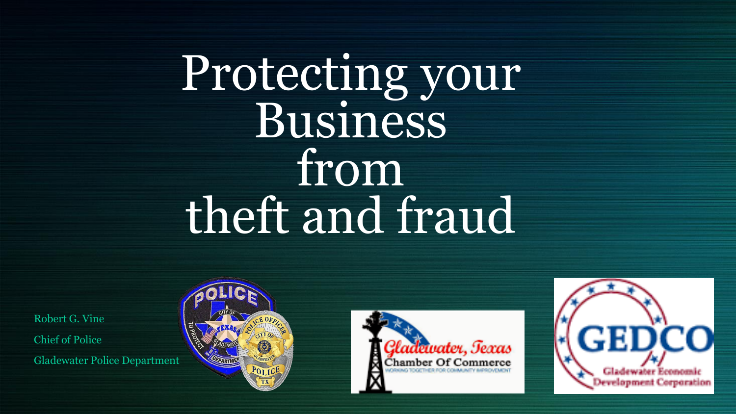# Protecting your Business from theft and fraud

Robert G. Vine Chief of Police Gladewater Police Department





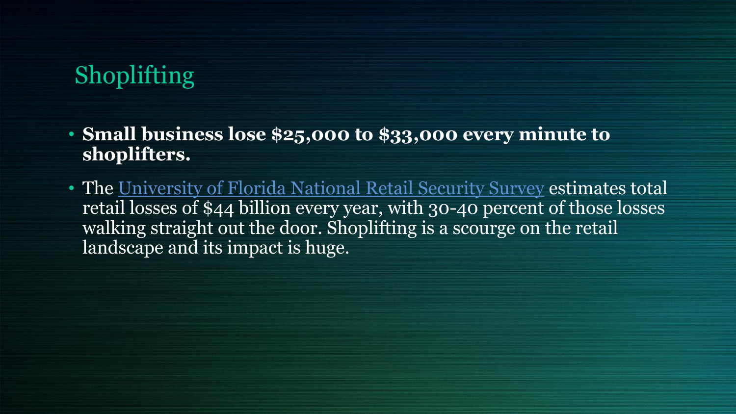# Shoplifting

• **Small business lose \$25,000 to \$33,000 every minute to shoplifters.**

• The [University of Florida National Retail Security Survey](http://soccrim.clas.ufl.edu/2014/02/20/2012-national-retail-security-survey-has-been-released/) estimates total retail losses of \$44 billion every year, with 30-40 percent of those losses walking straight out the door. Shoplifting is a scourge on the retail landscape and its impact is huge.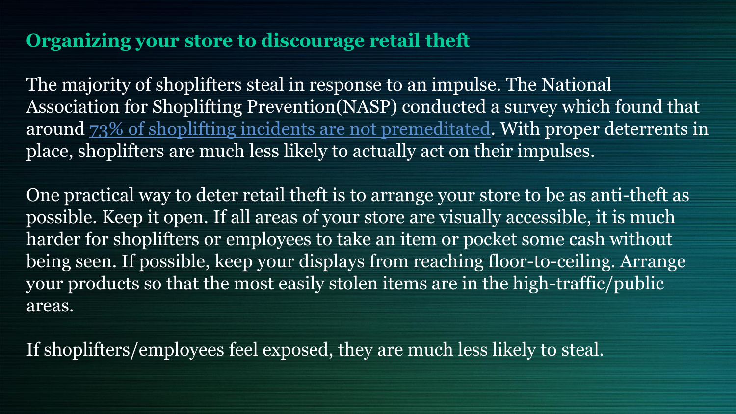#### **Organizing your store to discourage retail theft**

The majority of shoplifters steal in response to an impulse. The National Association for Shoplifting Prevention(NASP) conducted a survey which found that around [73% of shoplifting incidents are not premeditated](http://www.shopliftingprevention.org/what-we-do/learning-resource-center/statistics/). With proper deterrents in place, shoplifters are much less likely to actually act on their impulses.

One practical way to deter retail theft is to arrange your store to be as anti-theft as possible. Keep it open. If all areas of your store are visually accessible, it is much harder for shoplifters or employees to take an item or pocket some cash without being seen. If possible, keep your displays from reaching floor-to-ceiling. Arrange your products so that the most easily stolen items are in the high-traffic/public areas.

If shoplifters/employees feel exposed, they are much less likely to steal.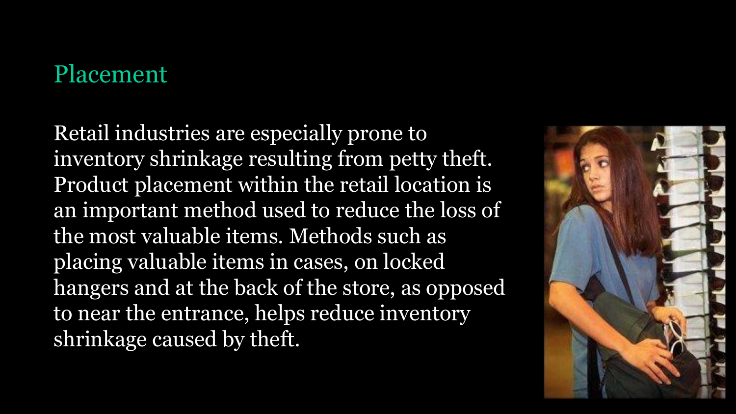### Placement

Retail industries are especially prone to inventory shrinkage resulting from petty theft. Product placement within the retail location is an important method used to reduce the loss of the most valuable items. Methods such as placing valuable items in cases, on locked hangers and at the back of the store, as opposed to near the entrance, helps reduce inventory shrinkage caused by theft.

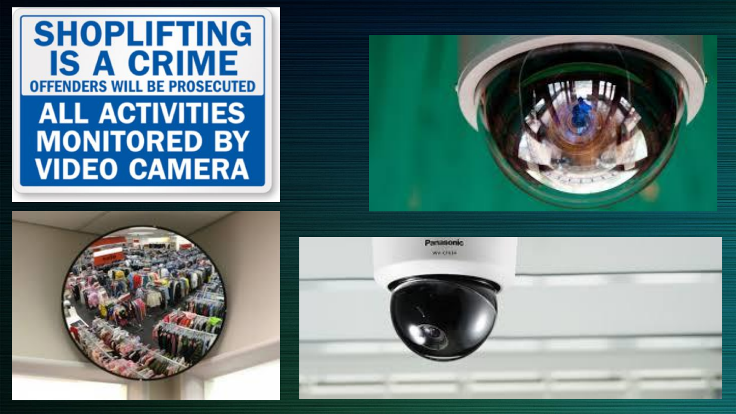# **SHOPLIFTING IS A CRIME OFFENDERS WILL BE PROSECUTED ALL ACTIVITIES MONITORED BY VIDEO CAMERA**





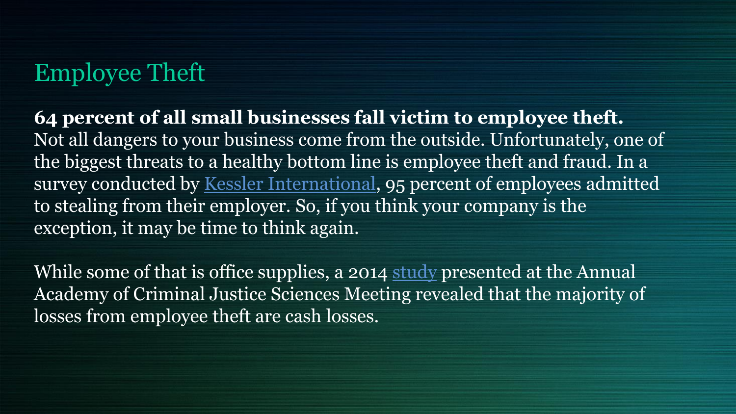# Employee Theft

**64 percent of all small businesses fall victim to employee theft.** Not all dangers to your business come from the outside. Unfortunately, one of the biggest threats to a healthy bottom line is employee theft and fraud. In a survey conducted by [Kessler International,](http://www.investigation.com/press/press118.htm) 95 percent of employees admitted to stealing from their employer. So, if you think your company is the exception, it may be time to think again.

While some of that is office supplies, a 2014 [study](http://blog.vs-us.com/employee-theft-statistics-for-small-businesses-infographic/) presented at the Annual Academy of Criminal Justice Sciences Meeting revealed that the majority of losses from employee theft are cash losses.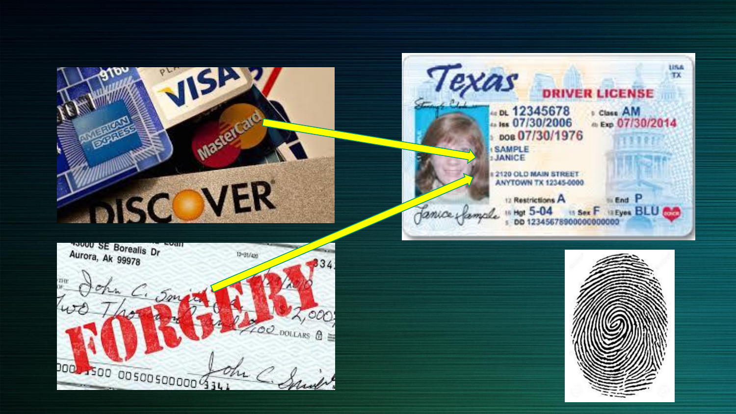





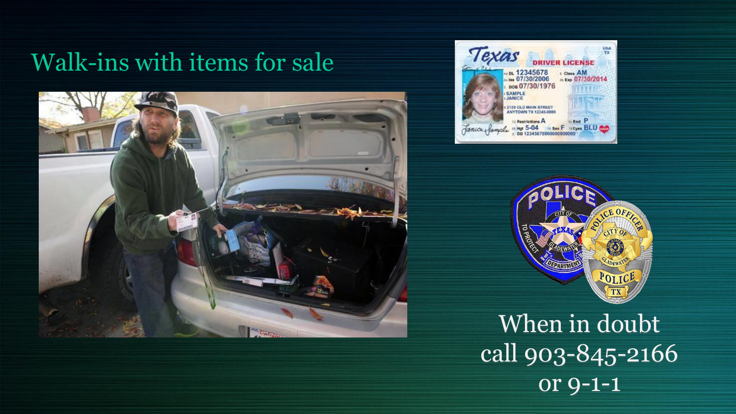# Walk-ins with items for sale







When in doubt call 903-845-2166 or 9-1-1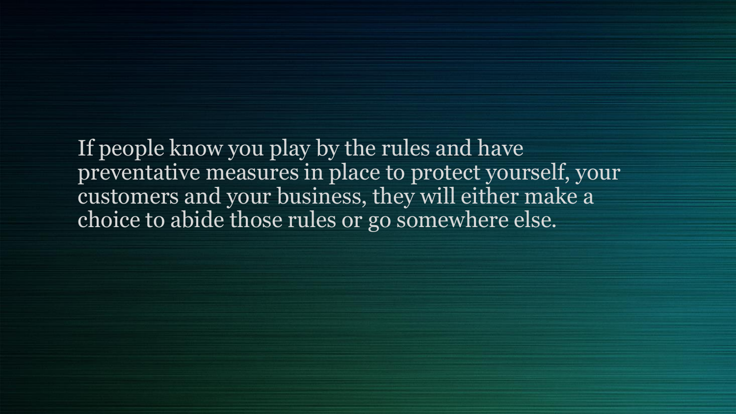If people know you play by the rules and have preventative measures in place to protect yourself, your customers and your business, they will either make a choice to abide those rules or go somewhere else.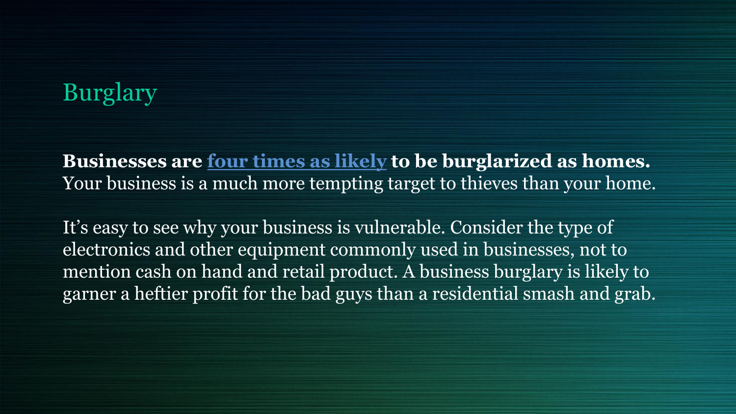## Burglary

**Businesses are [four times as likely](http://www.beckley.org/docs/Commercial_Burglary_Prevention.pdf) to be burglarized as homes.** Your business is a much more tempting target to thieves than your home.

It's easy to see why your business is vulnerable. Consider the type of electronics and other equipment commonly used in businesses, not to mention cash on hand and retail product. A business burglary is likely to garner a heftier profit for the bad guys than a residential smash and grab.